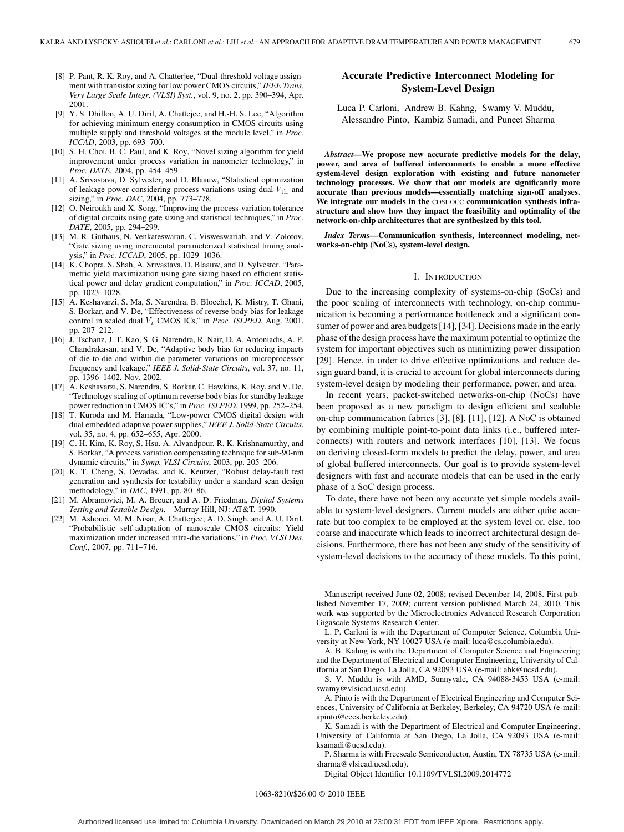- [8] P. Pant, R. K. Roy, and A. Chatterjee, "Dual-threshold voltage assignment with transistor sizing for low power CMOS circuits," *IEEE Trans. Very Large Scale Integr. (VLSI) Syst.*, vol. 9, no. 2, pp. 390–394, Apr. 2001.
- [9] Y. S. Dhillon, A. U. Diril, A. Chattejee, and H.-H. S. Lee, "Algorithm for achieving minimum energy consumption in CMOS circuits using multiple supply and threshold voltages at the module level," in *Proc. ICCAD*, 2003, pp. 693–700.
- [10] S. H. Choi, B. C. Paul, and K. Roy, "Novel sizing algorithm for yield improvement under process variation in nanometer technology," in *Proc. DATE*, 2004, pp. 454–459.
- [11] A. Srivastava, D. Sylvester, and D. Blaauw, "Statistical optimization of leakage power considering process variations using dual- $V_{\rm th}$  and sizing," in *Proc. DAC*, 2004, pp. 773–778.
- [12] O. Neiroukh and X. Song, "Improving the process-variation tolerance of digital circuits using gate sizing and statistical techniques," in *Proc. DATE*, 2005, pp. 294–299.
- [13] M. R. Guthaus, N. Venkateswaran, C. Visweswariah, and V. Zolotov, "Gate sizing using incremental parameterized statistical timing analysis," in *Proc. ICCAD*, 2005, pp. 1029–1036.
- [14] K. Chopra, S. Shah, A. Srivastava, D. Blaauw, and D. Sylvester, "Parametric yield maximization using gate sizing based on efficient statistical power and delay gradient computation," in *Proc. ICCAD*, 2005, pp. 1023–1028.
- [15] A. Keshavarzi, S. Ma, S. Narendra, B. Bloechel, K. Mistry, T. Ghani, S. Borkar, and V. De, "Effectiveness of reverse body bias for leakage control in scaled dual  $V_t$  CMOS ICs," in *Proc. ISLPED*, Aug. 2001, pp. 207–212.
- [16] J. Tschanz, J. T. Kao, S. G. Narendra, R. Nair, D. A. Antoniadis, A. P. Chandrakasan, and V. De, "Adaptive body bias for reducing impacts of die-to-die and within-die parameter variations on microprocessor frequency and leakage," *IEEE J. Solid-State Circuits*, vol. 37, no. 11, pp. 1396–1402, Nov. 2002.
- [17] A. Keshavarzi, S. Narendra, S. Borkar, C. Hawkins, K. Roy, and V. De, "Technology scaling of optimum reverse body bias for standby leakage power reduction in CMOS IC's," in *Proc. ISLPED*, 1999, pp. 252–254.
- [18] T. Kuroda and M. Hamada, "Low-power CMOS digital design with dual embedded adaptive power supplies," *IEEE J. Solid-State Circuits*, vol. 35, no. 4, pp. 652–655, Apr. 2000.
- [19] C. H. Kim, K. Roy, S. Hsu, A. Alvandpour, R. K. Krishnamurthy, and S. Borkar, "A process variation compensating technique for sub-90-nm dynamic circuits," in *Symp. VLSI Circuits*, 2003, pp. 205–206.
- [20] K. T. Cheng, S. Devadas, and K. Keutzer, "Robust delay-fault test generation and synthesis for testability under a standard scan design methodology," in *DAC*, 1991, pp. 80–86.
- [21] M. Abramovici, M. A. Breuer, and A. D. Friedman*, Digital Systems Testing and Testable Design*. Murray Hill, NJ: AT&T, 1990.
- [22] M. Ashouei, M. M. Nisar, A. Chatterjee, A. D. Singh, and A. U. Diril, "Probabilistic self-adaptation of nanoscale CMOS circuits: Yield maximization under increased intra-die variations," in *Proc. VLSI Des. Conf.*, 2007, pp. 711–716.

# **Accurate Predictive Interconnect Modeling for System-Level Design**

Luca P. Carloni, Andrew B. Kahng, Swamy V. Muddu, Alessandro Pinto, Kambiz Samadi, and Puneet Sharma

*Abstract—***We propose new accurate predictive models for the delay, power, and area of buffered interconnects to enable a more effective system-level design exploration with existing and future nanometer technology processes. We show that our models are significantly more accurate than previous models—essentially matching sign-off analyses. We integrate our models in the** COSI-OCC **communication synthesis infrastructure and show how they impact the feasibility and optimality of the network-on-chip architectures that are synthesized by this tool.**

*Index Terms—***Communication synthesis, interconnect modeling, networks-on-chip (NoCs), system-level design.**

#### I. INTRODUCTION

Due to the increasing complexity of systems-on-chip (SoCs) and the poor scaling of interconnects with technology, on-chip communication is becoming a performance bottleneck and a significant consumer of power and area budgets [14], [34]. Decisions made in the early phase of the design process have the maximum potential to optimize the system for important objectives such as minimizing power dissipation [29]. Hence, in order to drive effective optimizations and reduce design guard band, it is crucial to account for global interconnects during system-level design by modeling their performance, power, and area.

In recent years, packet-switched networks-on-chip (NoCs) have been proposed as a new paradigm to design efficient and scalable on-chip communication fabrics [3], [8], [11], [12]. A NoC is obtained by combining multiple point-to-point data links (i.e., buffered interconnects) with routers and network interfaces [10], [13]. We focus on deriving closed-form models to predict the delay, power, and area of global buffered interconnects. Our goal is to provide system-level designers with fast and accurate models that can be used in the early phase of a SoC design process.

To date, there have not been any accurate yet simple models available to system-level designers. Current models are either quite accurate but too complex to be employed at the system level or, else, too coarse and inaccurate which leads to incorrect architectural design decisions. Furthermore, there has not been any study of the sensitivity of system-level decisions to the accuracy of these models. To this point,

Manuscript received June 02, 2008; revised December 14, 2008. First published November 17, 2009; current version published March 24, 2010. This work was supported by the Microelectronics Advanced Research Corporation Gigascale Systems Research Center.

L. P. Carloni is with the Department of Computer Science, Columbia University at New York, NY 10027 USA (e-mail: luca@cs.columbia.edu).

A. B. Kahng is with the Department of Computer Science and Engineering and the Department of Electrical and Computer Engineering, University of California at San Diego, La Jolla, CA 92093 USA (e-mail: abk@ucsd.edu).

S. V. Muddu is with AMD, Sunnyvale, CA 94088-3453 USA (e-mail: swamy@vlsicad.ucsd.edu).

A. Pinto is with the Department of Electrical Engineering and Computer Sciences, University of California at Berkeley, Berkeley, CA 94720 USA (e-mail: apinto@eecs.berkeley.edu).

K. Samadi is with the Department of Electrical and Computer Engineering, University of California at San Diego, La Jolla, CA 92093 USA (e-mail: ksamadi@ucsd.edu).

P. Sharma is with Freescale Semiconductor, Austin, TX 78735 USA (e-mail: sharma@vlsicad.ucsd.edu).

Digital Object Identifier 10.1109/TVLSI.2009.2014772

# Authorized licensed use limited to: Columbia University. Downloaded on March 29,2010 at 23:00:31 EDT from IEEE Xplore. Restrictions apply.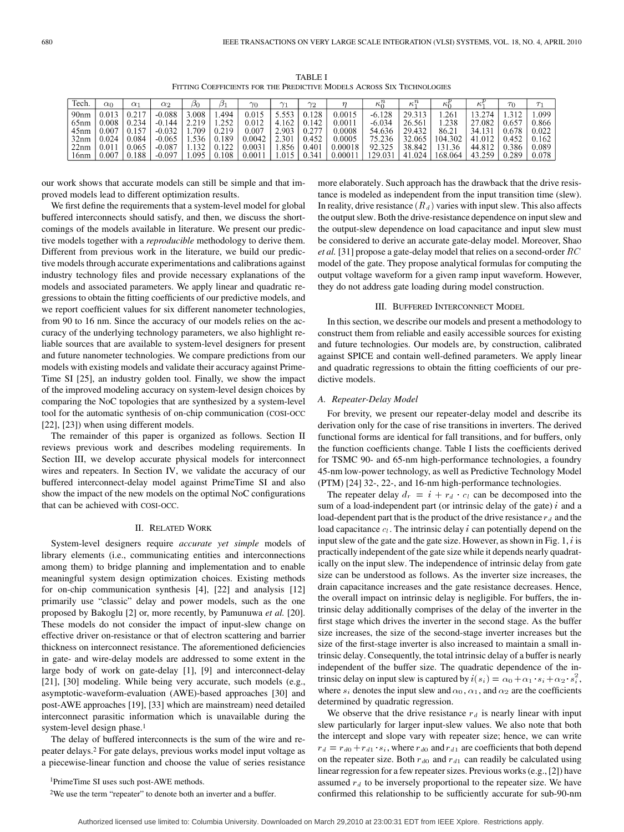TABLE I FITTING COEFFICIENTS FOR THE PREDICTIVE MODELS ACROSS SIX TECHNOLOGIES

| Tech. | $\alpha_0$ | $\alpha_1$ | $\alpha_2$ | $\beta_0$ | ־ט    | $\gamma_0$ | $\sim$ | $\gamma_2$ |              | $\kappa$ | $\kappa^n$ | кŧ      | ĸ.     | $\tau_0$       |        |
|-------|------------|------------|------------|-----------|-------|------------|--------|------------|--------------|----------|------------|---------|--------|----------------|--------|
| 90nm  | 0.013      | 0.217      | 0.88       | 0.008     | . 494 | 0.015      |        | 128        | 0.0015       | $-6.128$ | 29.313     | 1.261   | 274    | .312<br>طلاب ا | ۔ 999، |
| 65nm  | 0.008      | 0.234      | $-0.144$   | 219       | .252  | 0.012      | 4.162  | 0.142      | 0.0011       | $-6.034$ | 26.561     | 1.238   | 27.082 | 0.657          | 0.866  |
| 45nm  | 0.007      | 0.157      | $-0.032$   | 709       | 0.219 | 0.007      | 2.903  | . 0.277    | $_{0.0008}$  | 54.636   | 29.432     | 86.21   | 34.131 | 0.678          | 0.022  |
| 32nm  | 0.024      | 0.084      | $-0.065$   | . . 536   | 0.189 | 0.0042     | 2.301  | 0.452      | 0.0005       | 75.236   | 32.065     | 104.302 | 41.012 | 0.452          | 0.162  |
| 22nm  | 0.011      | 0.065      | $-0.087$   | 1.132     | 0.122 | 0.003      | 1.856  | 0.401      | 0.00018      | 92.325   | 38.842     | 131.36  | 44.812 | 0.386          | 0.089  |
| 16nm  | $_{0.007}$ | 0.188      | $-0.097$   | .095      | 0.108 | 0.0011     |        | 0.341      | $\rm 0.0001$ | 129.031  | 41.024     | 168.064 | 43.259 | 0.289          | 0.078  |

our work shows that accurate models can still be simple and that improved models lead to different optimization results.

We first define the requirements that a system-level model for global buffered interconnects should satisfy, and then, we discuss the shortcomings of the models available in literature. We present our predictive models together with a *reproducible* methodology to derive them. Different from previous work in the literature, we build our predictive models through accurate experimentations and calibrations against industry technology files and provide necessary explanations of the models and associated parameters. We apply linear and quadratic regressions to obtain the fitting coefficients of our predictive models, and we report coefficient values for six different nanometer technologies, from 90 to 16 nm. Since the accuracy of our models relies on the accuracy of the underlying technology parameters, we also highlight reliable sources that are available to system-level designers for present and future nanometer technologies. We compare predictions from our models with existing models and validate their accuracy against Prime-Time SI [25], an industry golden tool. Finally, we show the impact of the improved modeling accuracy on system-level design choices by comparing the NoC topologies that are synthesized by a system-level tool for the automatic synthesis of on-chip communication (COSI-OCC [22], [23]) when using different models.

The remainder of this paper is organized as follows. Section II reviews previous work and describes modeling requirements. In Section III, we develop accurate physical models for interconnect wires and repeaters. In Section IV, we validate the accuracy of our buffered interconnect-delay model against PrimeTime SI and also show the impact of the new models on the optimal NoC configurations that can be achieved with COSI-OCC.

## II. RELATED WORK

System-level designers require *accurate yet simple* models of library elements (i.e., communicating entities and interconnections among them) to bridge planning and implementation and to enable meaningful system design optimization choices. Existing methods for on-chip communication synthesis [4], [22] and analysis [12] primarily use "classic" delay and power models, such as the one proposed by Bakoglu [2] or, more recently, by Pamunuwa *et al.* [20]. These models do not consider the impact of input-slew change on effective driver on-resistance or that of electron scattering and barrier thickness on interconnect resistance. The aforementioned deficiencies in gate- and wire-delay models are addressed to some extent in the large body of work on gate-delay [1], [9] and interconnect-delay [21], [30] modeling. While being very accurate, such models (e.g., asymptotic-waveform-evaluation (AWE)-based approaches [30] and post-AWE approaches [19], [33] which are mainstream) need detailed interconnect parasitic information which is unavailable during the system-level design phase.1

The delay of buffered interconnects is the sum of the wire and repeater delays.2 For gate delays, previous works model input voltage as a piecewise-linear function and choose the value of series resistance

1PrimeTime SI uses such post-AWE methods.

2We use the term "repeater" to denote both an inverter and a buffer.

more elaborately. Such approach has the drawback that the drive resistance is modeled as independent from the input transition time (slew). In reality, drive resistance  $(R_d)$  varies with input slew. This also affects the output slew. Both the drive-resistance dependence on input slew and the output-slew dependence on load capacitance and input slew must be considered to derive an accurate gate-delay model. Moreover, Shao *et al.* [31] propose a gate-delay model that relies on a second-order  $RC$ model of the gate. They propose analytical formulas for computing the output voltage waveform for a given ramp input waveform. However, they do not address gate loading during model construction.

## III. BUFFERED INTERCONNECT MODEL

In this section, we describe our models and present a methodology to construct them from reliable and easily accessible sources for existing and future technologies. Our models are, by construction, calibrated against SPICE and contain well-defined parameters. We apply linear and quadratic regressions to obtain the fitting coefficients of our predictive models.

### *A. Repeater-Delay Model*

For brevity, we present our repeater-delay model and describe its derivation only for the case of rise transitions in inverters. The derived functional forms are identical for fall transitions, and for buffers, only the function coefficients change. Table I lists the coefficients derived for TSMC 90- and 65-nm high-performance technologies, a foundry 45-nm low-power technology, as well as Predictive Technology Model (PTM) [24] 32-, 22-, and 16-nm high-performance technologies. -nm low-power technology, as well as Predictive Technology Model<br>TM) [24] 32-, 22-, and 16-nm high-performance technologies.<br>The repeater delay  $d_r = i + r_d \cdot c_l$  can be decomposed into the

sum of a load-independent part (or intrinsic delay of the gate)  $i$  and a load-dependent part that is the product of the drive resistance  $r_d$  and the load capacitance  $c_i$ . The intrinsic delay *i* can potentially depend on the input slew of the gate and the gate size. However, as shown in Fig. 1, *i* is practically independent of the gate size while it depends nearly quadratically on the input slew. The independence of intrinsic delay from gate size can be understood as follows. As the inverter size increases, the drain capacitance increases and the gate resistance decreases. Hence, the overall impact on intrinsic delay is negligible. For buffers, the intrinsic delay additionally comprises of the delay of the inverter in the first stage which drives the inverter in the second stage. As the buffer size increases, the size of the second-stage inverter increases but the size of the first-stage inverter is also increased to maintain a small intrinsic delay. Consequently, the total intrinsic delay of a buffer is nearly independent of the buffer size. The quadratic dependence of the in-<br>trinsic delay on input slew is captured by  $i(s_i) = \alpha_0 + \alpha_1 \cdot s_i + \alpha_2 \cdot s_i^2$ , trinsic delay on input slew is captured by  $i(s_i) = \alpha_0 + \alpha_1 \cdot s_i + \alpha_2 \cdot s_i^2$ , where  $s_i$  denotes the input slew and  $\alpha_0$ ,  $\alpha_1$ , and  $\alpha_2$  are the coefficients determined by quadratic regression.

We observe that the drive resistance  $r_d$  is nearly linear with input slew particularly for larger input-slew values. We also note that both siew particularly for larger input-siew values. We also note that both<br>the intercept and slope vary with repeater size; hence, we can write<br> $r_d = r_{d0} + r_{d1} \cdot s_i$ , where  $r_{d0}$  and  $r_{d1}$  are coefficients that both depend  $r_d = r_{d0} + r_{d1} \cdot s_i$ , where  $r_{d0}$  and  $r_{d1}$  are coefficients that both depend on the repeater size. Both  $r_{d0}$  and  $r_{d1}$  can readily be calculated using linear regression for a few repeater sizes. Previous works (e.g., [2]) have assumed  $r_d$  to be inversely proportional to the repeater size. We have confirmed this relationship to be sufficiently accurate for sub-90-nm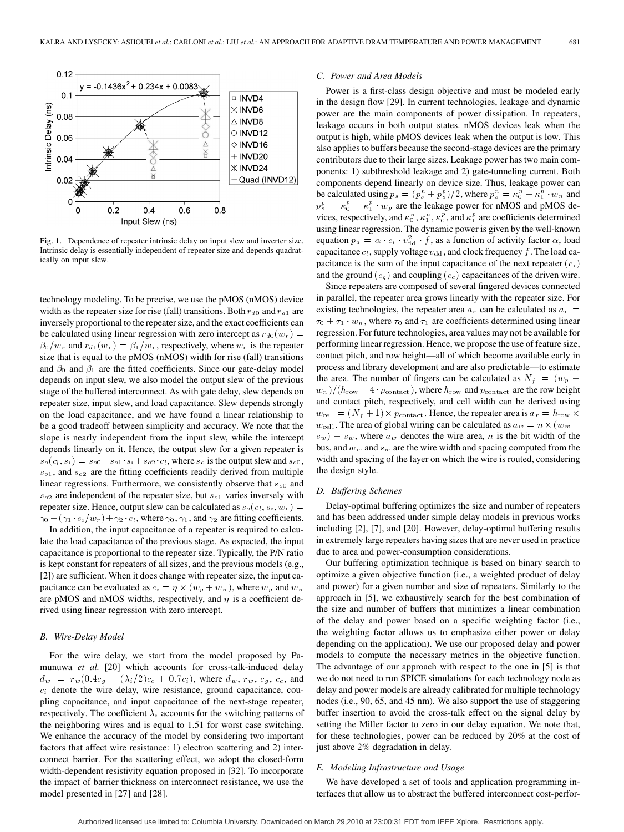

Fig. 1. Dependence of repeater intrinsic delay on input slew and inverter size. Intrinsic delay is essentially independent of repeater size and depends quadratically on input slew.

technology modeling. To be precise, we use the pMOS (nMOS) device width as the repeater size for rise (fall) transitions. Both  $r_{d0}$  and  $r_{d1}$  are inversely proportional to the repeater size, and the exact coefficients can be calculated using linear regression with zero intercept as  $r_{d0}(w_r) =$  $\beta_0/w_r$  and  $r_{d1}(w_r) = \beta_1/w_r$ , respectively, where  $w_r$  is the repeater size that is equal to the pMOS (nMOS) width for rise (fall) transitions and  $\beta_0$  and  $\beta_1$  are the fitted coefficients. Since our gate-delay model depends on input slew, we also model the output slew of the previous stage of the buffered interconnect. As with gate delay, slew depends on repeater size, input slew, and load capacitance. Slew depends strongly on the load capacitance, and we have found a linear relationship to be a good tradeoff between simplicity and accuracy. We note that the slope is nearly independent from the input slew, while the intercept depends linearly on it. Hence, the output slew for a given repeater is slope is nearly independent from the input slew, while the intercept<br>depends linearly on it. Hence, the output slew for a given repeater is<br> $s_o(c_l, s_i) = s_{o0} + s_{o1} \cdot s_i + s_{o2} \cdot c_l$ , where  $s_o$  is the output slew and  $s_{o0}$ ,  $s_{o1}$ , and  $s_{o2}$  are the fitting coefficients readily derived from multiple linear regressions. Furthermore, we consistently observe that  $s_{00}$  and  $s_{o2}$  are independent of the repeater size, but  $s_{o1}$  varies inversely with repeater size. Hence, output slew can be calculated as  $s_o(c_l, s_i, w_r) =$  $s_{o2}$  are independent of the repeater size, but  $s_{o1}$  varies inversely with<br>repeater size. Hence, output slew can be calculated as  $s_o(c_l, s_i, w_r) =$ <br> $\gamma_0 + (\gamma_1 \cdot s_i/w_r) + \gamma_2 \cdot c_l$ , where  $\gamma_0$ ,  $\gamma_1$ , and  $\gamma_2$  are fitti

In addition, the input capacitance of a repeater is required to calculate the load capacitance of the previous stage. As expected, the input capacitance is proportional to the repeater size. Typically, the P/N ratio is kept constant for repeaters of all sizes, and the previous models (e.g., [2]) are sufficient. When it does change with repeater size, the input capacitance can be evaluated as  $c_i = \eta \times (w_p + w_n)$ , where  $w_p$  and  $w_n$ are pMOS and nMOS widths, respectively, and  $\eta$  is a coefficient derived using linear regression with zero intercept.

### *B. Wire-Delay Model*

For the wire delay, we start from the model proposed by Pamunuwa *et al.* [20] which accounts for cross-talk-induced delay  $d_w = r_w(0.4c_g + (\lambda_i/2)c_c + 0.7c_i)$ , where  $d_w$ ,  $r_w$ ,  $c_g$ ,  $c_c$ , and  $c_i$  denote the wire delay, wire resistance, ground capacitance, coupling capacitance, and input capacitance of the next-stage repeater, respectively. The coefficient  $\lambda_i$  accounts for the switching patterns of the neighboring wires and is equal to 1.51 for worst case switching. We enhance the accuracy of the model by considering two important factors that affect wire resistance: 1) electron scattering and 2) interconnect barrier. For the scattering effect, we adopt the closed-form width-dependent resistivity equation proposed in [32]. To incorporate the impact of barrier thickness on interconnect resistance, we use the model presented in [27] and [28].

## *C. Power and Area Models*

Power is a first-class design objective and must be modeled early in the design flow [29]. In current technologies, leakage and dynamic power are the main components of power dissipation. In repeaters, leakage occurs in both output states. nMOS devices leak when the output is high, while pMOS devices leak when the output is low. This also applies to buffers because the second-stage devices are the primary contributors due to their large sizes. Leakage power has two main components: 1) subthreshold leakage and 2) gate-tunneling current. Both components depend linearly on device size. Thus, leakage power can be calculated using  $p_s = (p_s^n + p_s^p)/2$ , where  $p_s^n = \kappa_0^n + \kappa_1^n \cdot w_n$  and  $p_s^p = \kappa_0^p + \kappa_1^p \cdot w_p$  are the leakage power for nMOS and pMOS devices, respectively, and  $\kappa_0^n$ ,  $\kappa_1^n$ ,  $\kappa_0^p$ , and  $\kappa_1^p$  are coefficients determined using linear regression. The dynamic power is given by the well-known equation  $p_d = \alpha \cdot c_l \cdot v_{dd}^2 \cdot f$ , as a function of activity factor  $\alpha$ , load capacitance  $c_l$ , supply voltage  $v_{\rm dd}$ , and clock frequency f. The load capacitance is the sum of the input capacitance of the next repeater  $(c_i)$ and the ground  $(c_g)$  and coupling  $(c_c)$  capacitances of the driven wire.

Since repeaters are composed of several fingered devices connected in parallel, the repeater area grows linearly with the repeater size. For existing technologies, the repeater area  $a_r$  can be calculated as  $a_r =$  $\tau_0 + \tau_1 \cdot w_n$ , where  $\tau_0$  and  $\tau_1$  are coefficients determined using linear regression. For future technologies, area values may not be available for performing linear regression. Hence, we propose the use of feature size, contact pitch, and row height—all of which become available early in process and library development and are also predictable—to estimate the area. The number of fingers can be calculated as  $N_f = (w_p +$  $w_n$  )  $/(h_{\text{row}} - 4 \cdot p_{\text{contact}})$ , where  $h_{\text{row}}$  and  $p_{\text{contact}}$  are the row height and contact pitch, respectively, and cell width can be derived using  $w_{\text{cell}} = (N_f + 1) \times p_{\text{contact}}$ . Hence, the repeater area is  $a_r = h_{\text{row}} \times$  $w_{\text{cell}}$ . The area of global wiring can be calculated as  $a_w = n \times (w_w +$  $s_w$ ) +  $s_w$ , where  $a_w$  denotes the wire area, n is the bit width of the bus, and  $w_w$  and  $s_w$  are the wire width and spacing computed from the width and spacing of the layer on which the wire is routed, considering the design style.

## *D. Buffering Schemes*

Delay-optimal buffering optimizes the size and number of repeaters and has been addressed under simple delay models in previous works including [2], [7], and [20]. However, delay-optimal buffering results in extremely large repeaters having sizes that are never used in practice due to area and power-consumption considerations.

Our buffering optimization technique is based on binary search to optimize a given objective function (i.e., a weighted product of delay and power) for a given number and size of repeaters. Similarly to the approach in [5], we exhaustively search for the best combination of the size and number of buffers that minimizes a linear combination of the delay and power based on a specific weighting factor (i.e., the weighting factor allows us to emphasize either power or delay depending on the application). We use our proposed delay and power models to compute the necessary metrics in the objective function. The advantage of our approach with respect to the one in [5] is that we do not need to run SPICE simulations for each technology node as delay and power models are already calibrated for multiple technology nodes (i.e., 90, 65, and 45 nm). We also support the use of staggering buffer insertion to avoid the cross-talk effect on the signal delay by setting the Miller factor to zero in our delay equation. We note that, for these technologies, power can be reduced by 20% at the cost of just above 2% degradation in delay.

### *E. Modeling Infrastructure and Usage*

We have developed a set of tools and application programming interfaces that allow us to abstract the buffered interconnect cost-perfor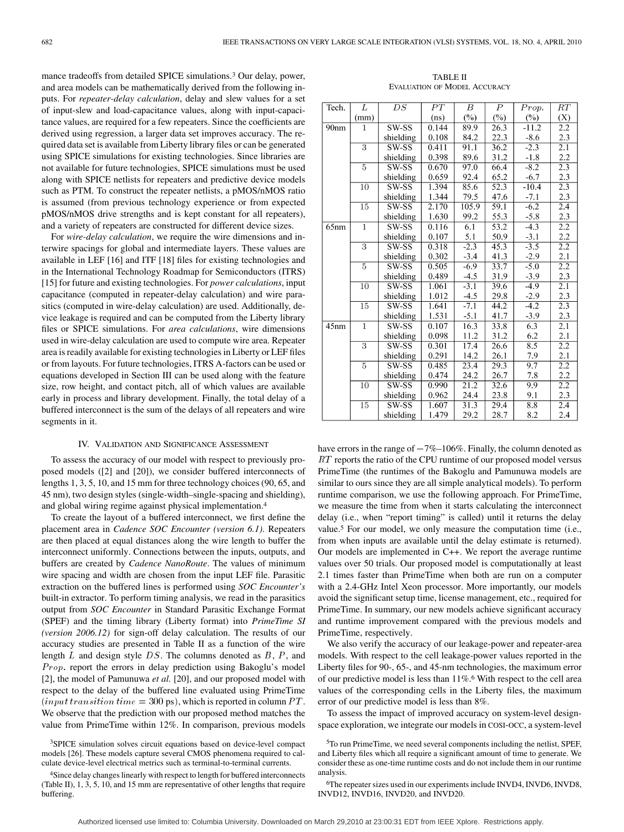mance tradeoffs from detailed SPICE simulations.3 Our delay, power, and area models can be mathematically derived from the following inputs. For *repeater-delay calculation*, delay and slew values for a set of input-slew and load-capacitance values, along with input-capacitance values, are required for a few repeaters. Since the coefficients are derived using regression, a larger data set improves accuracy. The required data set is available from Liberty library files or can be generated using SPICE simulations for existing technologies. Since libraries are not available for future technologies, SPICE simulations must be used along with SPICE netlists for repeaters and predictive device models such as PTM. To construct the repeater netlists, a pMOS/nMOS ratio is assumed (from previous technology experience or from expected pMOS/nMOS drive strengths and is kept constant for all repeaters), and a variety of repeaters are constructed for different device sizes.

For *wire-delay calculation*, we require the wire dimensions and interwire spacings for global and intermediate layers. These values are available in LEF [16] and ITF [18] files for existing technologies and in the International Technology Roadmap for Semiconductors (ITRS) [15] for future and existing technologies. For *power calculations*, input capacitance (computed in repeater-delay calculation) and wire parasitics (computed in wire-delay calculation) are used. Additionally, device leakage is required and can be computed from the Liberty library files or SPICE simulations. For *area calculations*, wire dimensions used in wire-delay calculation are used to compute wire area. Repeater area is readily available for existing technologies in Liberty or LEF files or from layouts. For future technologies, ITRS A-factors can be used or equations developed in Section III can be used along with the feature size, row height, and contact pitch, all of which values are available early in process and library development. Finally, the total delay of a buffered interconnect is the sum of the delays of all repeaters and wire segments in it.

#### IV. VALIDATION AND SIGNIFICANCE ASSESSMENT

To assess the accuracy of our model with respect to previously proposed models ([2] and [20]), we consider buffered interconnects of lengths 1, 3, 5, 10, and 15 mm for three technology choices (90, 65, and 45 nm), two design styles (single-width–single-spacing and shielding), and global wiring regime against physical implementation.4

To create the layout of a buffered interconnect, we first define the placement area in *Cadence SOC Encounter (version 6.1)*. Repeaters are then placed at equal distances along the wire length to buffer the interconnect uniformly. Connections between the inputs, outputs, and buffers are created by *Cadence NanoRoute*. The values of minimum wire spacing and width are chosen from the input LEF file. Parasitic extraction on the buffered lines is performed using *SOC Encounter's* built-in extractor. To perform timing analysis, we read in the parasitics output from *SOC Encounter* in Standard Parasitic Exchange Format (SPEF) and the timing library (Liberty format) into *PrimeTime SI (version 2006.12)* for sign-off delay calculation. The results of our accuracy studies are presented in Table II as a function of the wire length  $L$  and design style  $DS$ . The columns denoted as  $B$ ,  $P$ , and  $Prop.$  report the errors in delay prediction using Bakoglu's model [2], the model of Pamunuwa *et al.* [20], and our proposed model with respect to the delay of the buffered line evaluated using PrimeTime  $(input transition\ time = 300\ ps)$ , which is reported in column PT. We observe that the prediction with our proposed method matches the value from PrimeTime within 12%. In comparison, previous models

3SPICE simulation solves circuit equations based on device-level compact models [26]. These models capture several CMOS phenomena required to calculate device-level electrical metrics such as terminal-to-terminal currents.

4Since delay changes linearly with respect to length for buffered interconnects (Table II), 1, 3, 5, 10, and 15 mm are representative of other lengths that require buffering.

TABLE II EVALUATION OF MODEL ACCURACY

| Tech. | L                       | DS                        | PT    | $\overline{B}$    | $\overline{P}$    | $\overline{Prop}.$ | RТ               |
|-------|-------------------------|---------------------------|-------|-------------------|-------------------|--------------------|------------------|
|       | (mm)                    |                           | (ns)  | (%)               | $(\%)$            | $(\%)$             | (X)              |
| 90nm  | $\mathbf{1}$            | SW-SS                     | 0.144 | 89.9              | 26.3              | $-11.2$            | 2.2              |
|       |                         | shielding                 | 0.108 | 84.2              | 22.3              | $-8.6$             | 2.3              |
|       | $\overline{3}$          | $SW-SS$                   | 0.411 | 91.1              | 36.2              | $-2.3$             | $\overline{2.1}$ |
|       |                         | shielding                 | 0.398 | 89.6              | 31.2              | $-1.8$             | 2.2              |
|       | $\overline{5}$          | $SW-SS$                   | 0.670 | 97.0              | 66.4              | $-8.2$             | $\overline{2.3}$ |
|       |                         | shielding                 | 0.659 | 92.4              | 65.2              | $-6.7$             | 2.3              |
|       | $\overline{10}$         | $SW-SS$                   | 1.394 | 85.6              | 52.3              | $-10.4$            | 2.3              |
|       |                         | shielding                 | 1.344 | 79.5              | 47.6              | $-7.1$             | 2.3              |
|       | $\overline{15}$         | $SW-SS$                   | 2.170 | 105.9             | 59.1              | $-6.2$             | 2.4              |
|       |                         | shielding                 | 1.630 | 99.2              | 55.3              | $-5.8$             | 2.3              |
| 65nm  | $\mathbf{1}$            | SW-SS                     | 0.116 | 6.1               | 53.2              | $-4.3$             | 2.2              |
|       |                         | shielding                 | 0.107 | 5.1               | 50.9              | $-3.1$             | 2.2              |
|       | $\overline{\mathbf{3}}$ | $SW-SS$                   | 0.318 | $-2.3$            | 45.3              | $-3.5$             | $\overline{2.2}$ |
|       |                         | shielding                 | 0.302 | $-3.4$            | 41.3              | $-2.9$             | 2.1              |
|       | $\overline{5}$          | $SW-SS$                   | 0.505 | $-6.9$            | 33.7              | $-5.0$             | 2.2              |
|       |                         | shielding                 | 0.489 | $-4.5$            | 31.9              | $-3.9$             | 2.3              |
|       | $\overline{10}$         | $SW-SS$                   | 1.061 | $-3.1$            | 39.6              | $-4.9$             | $\overline{2.1}$ |
|       |                         | shielding                 | 1.012 | $-4.5$            | 29.8              | $-2.9$             | 2.3              |
|       | $\overline{15}$         | $SW-SS$                   | 1.641 | $-7.1$            | 44.2              | $-4.2$             | 2.3              |
|       |                         | shielding                 | 1.531 | $-5.1$            | 41.7              | $-3.9$             | 2.3              |
| 45nm  | $\overline{1}$          | $\overline{\text{SW-SS}}$ | 0.107 | 16.3              | 33.8              | 6.3                | 2.1              |
|       |                         | shielding                 | 0.098 | 11.2              | 31.2              | 6.2                | 2.1              |
|       | $\overline{3}$          | $\overline{\text{SW-SS}}$ | 0.301 | 17.4              | 26.6              | 8.5                | $\overline{2.2}$ |
|       |                         | shielding                 | 0.291 | 14.2              | 26.1              | 7.9                | 2.1              |
|       | $\overline{5}$          | $SW-SS$                   | 0.485 | 23.4              | $\overline{29.3}$ | 9.7                | $\overline{2.2}$ |
|       |                         | shielding                 | 0.474 | 24.2              | 26.7              | 7.8                | 2.2              |
|       | $\overline{10}$         | $SW-SS$                   | 0.990 | $\overline{21.2}$ | 32.6              | 9.9                | $\overline{2.2}$ |
|       |                         | shielding                 | 0.962 | 24.4              | 23.8              | 9.1                | 2.3              |
|       | 15                      | $SW-SS$                   | 1.607 | 31.3              | 29.4              | 8.8                | 2.4              |
|       |                         | shielding                 | 1.479 | 29.2              | 28.7              | 8.2                | 2.4              |

have errors in the range of  $-7\%$ –106%. Finally, the column denoted as  $RT$  reports the ratio of the CPU runtime of our proposed model versus PrimeTime (the runtimes of the Bakoglu and Pamunuwa models are similar to ours since they are all simple analytical models). To perform runtime comparison, we use the following approach. For PrimeTime, we measure the time from when it starts calculating the interconnect delay (i.e., when "report timing" is called) until it returns the delay value.5 For our model, we only measure the computation time (i.e., from when inputs are available until the delay estimate is returned). Our models are implemented in C++. We report the average runtime values over 50 trials. Our proposed model is computationally at least 2.1 times faster than PrimeTime when both are run on a computer with a 2.4-GHz Intel Xeon processor. More importantly, our models avoid the significant setup time, license management, etc., required for PrimeTime. In summary, our new models achieve significant accuracy and runtime improvement compared with the previous models and PrimeTime, respectively.

We also verify the accuracy of our leakage-power and repeater-area models. With respect to the cell leakage-power values reported in the Liberty files for 90-, 65-, and 45-nm technologies, the maximum error of our predictive model is less than 11%.6 With respect to the cell area values of the corresponding cells in the Liberty files, the maximum error of our predictive model is less than 8%.

To assess the impact of improved accuracy on system-level designspace exploration, we integrate our models in COSI-OCC, a system-level

6The repeater sizes used in our experiments include INVD4, INVD6, INVD8, INVD12, INVD16, INVD20, and INVD20.

<sup>5</sup>To run PrimeTime, we need several components including the netlist, SPEF, and Liberty files which all require a significant amount of time to generate. We consider these as one-time runtime costs and do not include them in our runtime analysis.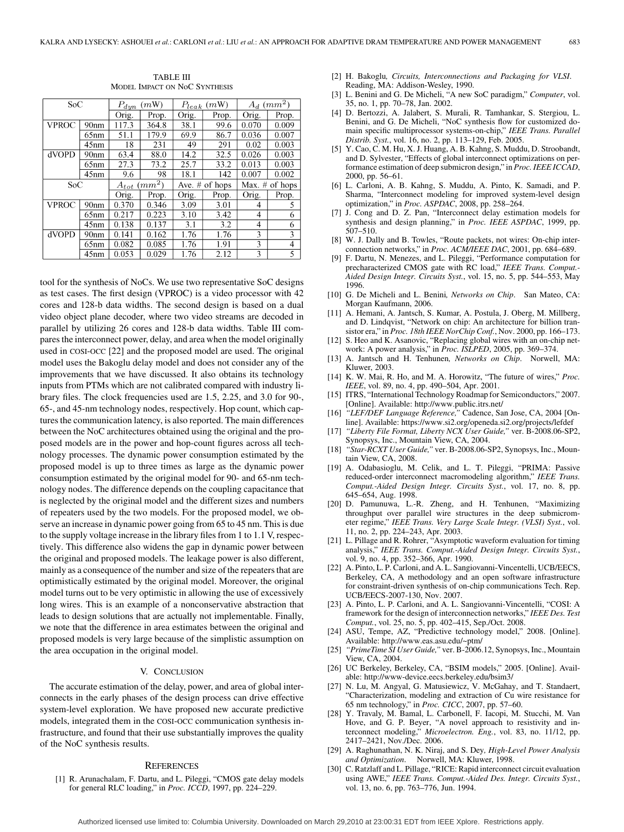| SoC          |                  | $P_{\underline{dyn}}$ | (mW)                         |       | $P_{leak}(mW)$   | $A_d$ (mm <sup>2</sup> ) |       |  |
|--------------|------------------|-----------------------|------------------------------|-------|------------------|--------------------------|-------|--|
|              |                  | Orig.                 | Prop.                        | Orig. | Prop.            | Orig.                    | Prop. |  |
| <b>VPROC</b> | 90 <sub>nm</sub> | 117.3                 | 364.8                        | 38.1  | 99.6             | 0.070                    | 0.009 |  |
|              | 65nm             | 51.1                  | 179.9                        | 69.9  | 86.7             | 0.036                    | 0.007 |  |
|              | 45 <sub>nm</sub> | 18                    | 231                          | 49    | 291              | 0.02                     | 0.003 |  |
| dVOPD        | 90 <sub>nm</sub> | 63.4                  | 88.0                         | 14.2  | 32.5             | 0.026                    | 0.003 |  |
|              | 65nm             | 27.3                  | 73.2                         | 25.7  | 33.2             | 0.013                    | 0.003 |  |
|              | 45 <sub>nm</sub> | 9.6                   | 98                           | 18.1  | 142              | 0.007                    | 0.002 |  |
| SoC          |                  |                       | $A_{tot}$ (mm <sup>2</sup> ) |       | Ave. $#$ of hops | Max. $#$ of hops         |       |  |
|              |                  | Orig.                 | Prop.                        | Orig. | Prop.            | Orig.                    | Prop. |  |
| <b>VPROC</b> | 90 <sub>nm</sub> | 0.370                 | 0.346                        | 3.09  | 3.01             | 4                        | 5     |  |
|              | 65nm             | 0.217                 | 0.223                        | 3.10  | 3.42             | 4                        | 6     |  |
|              | 45 <sub>nm</sub> | 0.138                 | 0.137                        | 3.1   | 3.2              | 4                        | 6     |  |
| dVOPD        | 90 <sub>nm</sub> | 0.141                 | 0.162                        | 1.76  | 1.76             | 3                        | 3     |  |
|              |                  |                       |                              | 1.76  | 1.91             | 3                        | 4     |  |
|              | 65nm             | 0.082                 | 0.085                        |       |                  |                          |       |  |

TABLE III MODEL IMPACT ON NoC SYNTHESIS

tool for the synthesis of NoCs. We use two representative SoC designs as test cases. The first design (VPROC) is a video processor with 42 cores and 128-b data widths. The second design is based on a dual video object plane decoder, where two video streams are decoded in parallel by utilizing 26 cores and 128-b data widths. Table III compares the interconnect power, delay, and area when the model originally used in COSI-OCC [22] and the proposed model are used. The original model uses the Bakoglu delay model and does not consider any of the improvements that we have discussed. It also obtains its technology inputs from PTMs which are not calibrated compared with industry library files. The clock frequencies used are 1.5, 2.25, and 3.0 for 90-, 65-, and 45-nm technology nodes, respectively. Hop count, which captures the communication latency, is also reported. The main differences between the NoC architectures obtained using the original and the proposed models are in the power and hop-count figures across all technology processes. The dynamic power consumption estimated by the proposed model is up to three times as large as the dynamic power consumption estimated by the original model for 90- and 65-nm technology nodes. The difference depends on the coupling capacitance that is neglected by the original model and the different sizes and numbers of repeaters used by the two models. For the proposed model, we observe an increase in dynamic power going from 65 to 45 nm. This is due to the supply voltage increase in the library files from 1 to 1.1 V, respectively. This difference also widens the gap in dynamic power between the original and proposed models. The leakage power is also different, mainly as a consequence of the number and size of the repeaters that are optimistically estimated by the original model. Moreover, the original model turns out to be very optimistic in allowing the use of excessively long wires. This is an example of a nonconservative abstraction that leads to design solutions that are actually not implementable. Finally, we note that the difference in area estimates between the original and proposed models is very large because of the simplistic assumption on the area occupation in the original model.

## V. CONCLUSION

The accurate estimation of the delay, power, and area of global interconnects in the early phases of the design process can drive effective system-level exploration. We have proposed new accurate predictive models, integrated them in the COSI-OCC communication synthesis infrastructure, and found that their use substantially improves the quality of the NoC synthesis results.

#### **REFERENCES**

[1] R. Arunachalam, F. Dartu, and L. Pileggi, "CMOS gate delay models for general RLC loading," in *Proc. ICCD*, 1997, pp. 224–229.

- [2] H. Bakoglu*, Circuits, Interconnections and Packaging for VLSI*. Reading, MA: Addison-Wesley, 1990.
- [3] L. Benini and G. De Micheli, "A new SoC paradigm," *Computer*, vol. 35, no. 1, pp. 70–78, Jan. 2002.
- [4] D. Bertozzi, A. Jalabert, S. Murali, R. Tamhankar, S. Stergiou, L. Benini, and G. De Micheli, "NoC synthesis flow for customized domain specific multiprocessor systems-on-chip," *IEEE Trans. Parallel Distrib. Syst.*, vol. 16, no. 2, pp. 113–129, Feb. 2005.
- [5] Y. Cao, C. M. Hu, X. J. Huang, A. B. Kahng, S. Muddu, D. Stroobandt, and D. Sylvester, "Effects of global interconnect optimizations on performance estimation of deep submicron design," in *Proc. IEEE ICCAD*, 2000, pp. 56–61.
- [6] L. Carloni, A. B. Kahng, S. Muddu, A. Pinto, K. Samadi, and P. Sharma, "Interconnect modeling for improved system-level design optimization," in *Proc. ASPDAC*, 2008, pp. 258–264.
- [7] J. Cong and D. Z. Pan, "Interconnect delay estimation models for synthesis and design planning," in *Proc. IEEE ASPDAC*, 1999, pp. 507–510.
- [8] W. J. Dally and B. Towles, "Route packets, not wires: On-chip interconnection networks," in *Proc. ACM/IEEE DAC*, 2001, pp. 684–689.
- [9] F. Dartu, N. Menezes, and L. Pileggi, "Performance computation for precharacterized CMOS gate with RC load," *IEEE Trans. Comput.- Aided Design Integr. Circuits Syst.*, vol. 15, no. 5, pp. 544–553, May 1996.
- [10] G. De Micheli and L. Benini*, Networks on Chip*. San Mateo, CA: Morgan Kaufmann, 2006.
- [11] A. Hemani, A. Jantsch, S. Kumar, A. Postula, J. Oberg, M. Millberg, and D. Lindqvist, "Network on chip: An architecture for billion transistor era," in *Proc. 18th IEEE NorChip Conf.*, Nov. 2000, pp. 166–173.
- [12] S. Heo and K. Asanovic, "Replacing global wires with an on-chip network: A power analysis," in *Proc. ISLPED*, 2005, pp. 369–374.
- [13] A. Jantsch and H. Tenhunen*, Networks on Chip*. Norwell, MA: Kluwer, 2003.
- [14] K. W. Mai, R. Ho, and M. A. Horowitz, "The future of wires," *Proc. IEEE*, vol. 89, no. 4, pp. 490–504, Apr. 2001.
- [15] ITRS, "International Technology Roadmap for Semiconductors," 2007. [Online]. Available: http://www.public.itrs.net/
- [16] *"LEF/DEF Language Reference,"* Cadence, San Jose, CA, 2004 [Online]. Available: https://www.si2.org/openeda.si2.org/projects/lefdef
- [17] *"Liberty File Format, Liberty NCX User Guide,"* ver. B-2008.06-SP2, Synopsys, Inc., Mountain View, CA, 2004.
- [18] *"Star-RCXT User Guide,"* ver. B-2008.06-SP2, Synopsys, Inc., Mountain View, CA, 2008.
- [19] A. Odabasioglu, M. Celik, and L. T. Pileggi, "PRIMA: Passive reduced-order interconnect macromodeling algorithm," *IEEE Trans. Comput.-Aided Design Integr. Circuits Syst.*, vol. 17, no. 8, pp. 645–654, Aug. 1998.
- [20] D. Pamunuwa, L.-R. Zheng, and H. Tenhunen, "Maximizing throughput over parallel wire structures in the deep submicrometer regime," *IEEE Trans. Very Large Scale Integr. (VLSI) Syst.*, vol. 11, no. 2, pp. 224–243, Apr. 2003.
- [21] L. Pillage and R. Rohrer, "Asymptotic waveform evaluation for timing analysis," *IEEE Trans. Comput.-Aided Design Integr. Circuits Syst.*, vol. 9, no. 4, pp. 352–366, Apr. 1990.
- [22] A. Pinto, L. P. Carloni, and A. L. Sangiovanni-Vincentelli, UCB/EECS, Berkeley, CA, A methodology and an open software infrastructure for constraint-driven synthesis of on-chip communications Tech. Rep. UCB/EECS-2007-130, Nov. 2007.
- [23] A. Pinto, L. P. Carloni, and A. L. Sangiovanni-Vincentelli, "COSI: A framework for the design of interconnection networks," *IEEE Des. Test Comput.*, vol. 25, no. 5, pp. 402–415, Sep./Oct. 2008.
- [24] ASU, Tempe, AZ, "Predictive technology model," 2008. [Online]. Available: http://www.eas.asu.edu/~ptm/
- [25] *"PrimeTime SI User Guide,"* ver. B-2006.12, Synopsys, Inc., Mountain View, CA, 2004.
- [26] UC Berkeley, Berkeley, CA, "BSIM models," 2005. [Online]. Available: http://www-device.eecs.berkeley.edu/bsim3/
- [27] N. Lu, M. Angyal, G. Matusiewicz, V. McGahay, and T. Standaert, "Characterization, modeling and extraction of Cu wire resistance for 65 nm technology," in *Proc. CICC*, 2007, pp. 57–60.
- [28] Y. Travaly, M. Bamal, L. Carbonell, F. Iacopi, M. Stucchi, M. Van Hove, and G. P. Beyer, "A novel approach to resistivity and interconnect modeling," *Microelectron. Eng.*, vol. 83, no. 11/12, pp. 2417–2421, Nov./Dec. 2006.
- [29] A. Raghunathan, N. K. Niraj, and S. Dey*, High-Level Power Analysis and Optimization*. Norwell, MA: Kluwer, 1998.
- [30] C. Ratzlaff and L. Pillage, "RICE: Rapid interconnect circuit evaluation using AWE," *IEEE Trans. Comput.-Aided Des. Integr. Circuits Syst.*, vol. 13, no. 6, pp. 763–776, Jun. 1994.